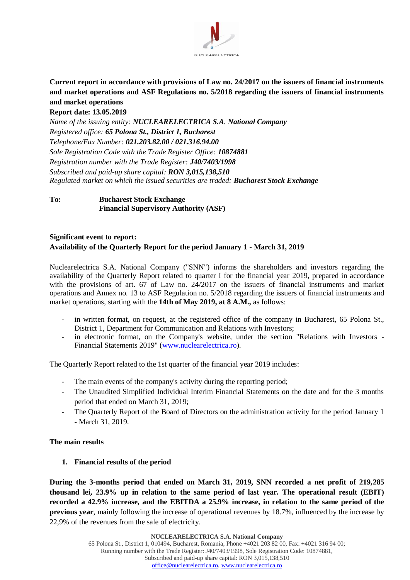

**Current report in accordance with provisions of Law no. 24/2017 on the issuers of financial instruments and market operations and ASF Regulations no. 5/2018 regarding the issuers of financial instruments and market operations**

#### **Report date: 13.05.2019**

*Name of the issuing entity: NUCLEARELECTRICA S.A. National Company Registered office: 65 Polona St., District 1, Bucharest Telephone/Fax Number: 021.203.82.00 / 021.316.94.00 Sole Registration Code with the Trade Register Office: 10874881 Registration number with the Trade Register: J40/7403/1998 Subscribed and paid-up share capital: RON 3,015,138,510 Regulated market on which the issued securities are traded: Bucharest Stock Exchange*

# **To: Bucharest Stock Exchange Financial Supervisory Authority (ASF)**

## **Significant event to report: Availability of the Quarterly Report for the period January 1 - March 31, 2019**

Nuclearelectrica S.A. National Company ("SNN") informs the shareholders and investors regarding the availability of the Quarterly Report related to quarter I for the financial year 2019, prepared in accordance with the provisions of art. 67 of Law no. 24/2017 on the issuers of financial instruments and market operations and Annex no. 13 to ASF Regulation no. 5/2018 regarding the issuers of financial instruments and market operations, starting with the **14th of May 2019, at 8 A.M.,** as follows:

- in written format, on request, at the registered office of the company in Bucharest, 65 Polona St., District 1, Department for Communication and Relations with Investors;
- in electronic format, on the Company's website, under the section "Relations with Investors -Financial Statements 2019" [\(www.nuclearelectrica.ro\)](http://www.nuclearelectrica.ro/).

The Quarterly Report related to the 1st quarter of the financial year 2019 includes:

- The main events of the company's activity during the reporting period;
- The Unaudited Simplified Individual Interim Financial Statements on the date and for the 3 months period that ended on March 31, 2019;
- The Quarterly Report of the Board of Directors on the administration activity for the period January 1 - March 31, 2019.

## **The main results**

## **1. Financial results of the period**

**During the 3-months period that ended on March 31, 2019, SNN recorded a net profit of 219,285 thousand lei, 23.9% up in relation to the same period of last year. The operational result (EBIT) recorded a 42.9% increase, and the EBITDA a 25.9% increase, in relation to the same period of the previous year**, mainly following the increase of operational revenues by 18.7%, influenced by the increase by 22,9% of the revenues from the sale of electricity.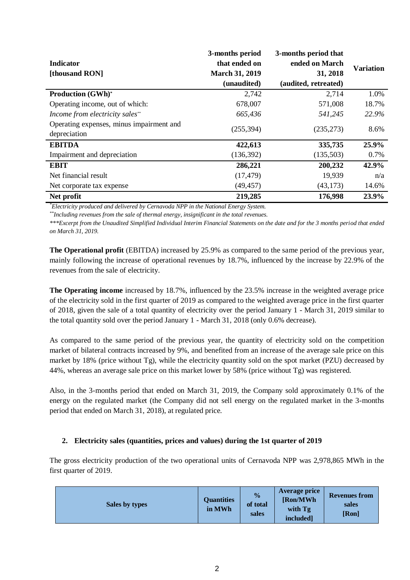| 3-months period                          |                       | 3-months period that |                  |
|------------------------------------------|-----------------------|----------------------|------------------|
| <b>Indicator</b>                         | that ended on         | ended on March       | <b>Variation</b> |
| [thousand RON]                           | <b>March 31, 2019</b> | 31, 2018             |                  |
|                                          | (unaudited)           | (audited, retreated) |                  |
| <b>Production (GWh)*</b>                 | 2,742                 | 2,714                | 1.0%             |
| Operating income, out of which:          | 678,007               | 571,008              | 18.7%            |
| Income from electricity sales**          | 665,436               | 541,245              | 22.9%            |
| Operating expenses, minus impairment and | (255, 394)            | (235, 273)           | 8.6%             |
| depreciation                             |                       |                      |                  |
| <b>EBITDA</b>                            | 422,613               | 335,735              | 25.9%            |
| Impairment and depreciation              | (136, 392)            | (135,503)            | 0.7%             |
| <b>EBIT</b>                              | 286,221               | 200,232              | 42.9%            |
| Net financial result                     | (17, 479)             | 19,939               | n/a              |
| Net corporate tax expense                | (49, 457)             | (43, 173)            | 14.6%            |
| Net profit                               | 219,285               | 176,998              | 23.9%            |

*\*Electricity produced and delivered by Cernavoda NPP in the National Energy System.*

*\*\*Including revenues from the sale of thermal energy, insignificant in the total revenues.*

*\*\*\*Excerpt from the Unaudited Simplified Individual Interim Financial Statements on the date and for the 3 months period that ended on March 31, 2019.*

**The Operational profit** (EBITDA) increased by 25.9% as compared to the same period of the previous year, mainly following the increase of operational revenues by 18.7%, influenced by the increase by 22.9% of the revenues from the sale of electricity.

**The Operating income** increased by 18.7%, influenced by the 23.5% increase in the weighted average price of the electricity sold in the first quarter of 2019 as compared to the weighted average price in the first quarter of 2018, given the sale of a total quantity of electricity over the period January 1 - March 31, 2019 similar to the total quantity sold over the period January 1 - March 31, 2018 (only 0.6% decrease).

As compared to the same period of the previous year, the quantity of electricity sold on the competition market of bilateral contracts increased by 9%, and benefited from an increase of the average sale price on this market by 18% (price without Tg), while the electricity quantity sold on the spot market (PZU) decreased by 44%, whereas an average sale price on this market lower by 58% (price without Tg) was registered.

Also, in the 3-months period that ended on March 31, 2019, the Company sold approximately 0.1% of the energy on the regulated market (the Company did not sell energy on the regulated market in the 3-months period that ended on March 31, 2018), at regulated price.

## **2. Electricity sales (quantities, prices and values) during the 1st quarter of 2019**

The gross electricity production of the two operational units of Cernavoda NPP was 2,978,865 MWh in the first quarter of 2019.

| Sales by types | <b>Quantities</b><br>in MWh | $\frac{0}{0}$<br>of total<br>sales | <b>Average price</b><br>[Ron/MWh]<br>with Tg<br>included] | <b>Revenues from</b><br>sales<br>[Ron] |
|----------------|-----------------------------|------------------------------------|-----------------------------------------------------------|----------------------------------------|
|----------------|-----------------------------|------------------------------------|-----------------------------------------------------------|----------------------------------------|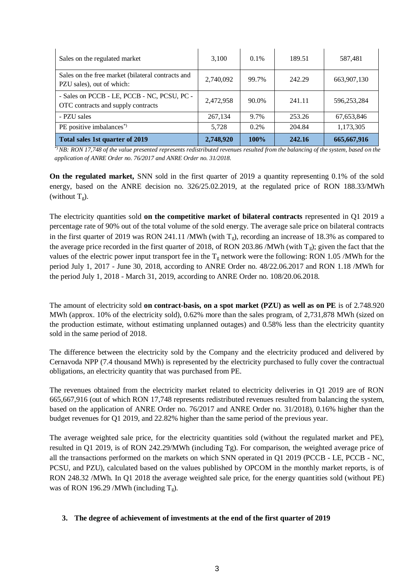| Sales on the regulated market                                                     | 3,100     | $0.1\%$     | 189.51 | 587,481     |
|-----------------------------------------------------------------------------------|-----------|-------------|--------|-------------|
| Sales on the free market (bilateral contracts and<br>PZU sales), out of which:    | 2,740,092 | 99.7%       | 242.29 | 663,907,130 |
| - Sales on PCCB - LE, PCCB - NC, PCSU, PC -<br>OTC contracts and supply contracts | 2,472,958 | 90.0%       | 241.11 | 596,253,284 |
| - PZU sales                                                                       | 267,134   | 9.7%        | 253.26 | 67,653,846  |
| PE positive imbalances <sup>*</sup> )                                             | 5.728     | $0.2\%$     | 204.84 | 1,173,305   |
| Total sales 1st quarter of 2019                                                   | 2,748,920 | <b>100%</b> | 242.16 | 665,667,916 |

*\*) NB: RON 17,748 of the value presented represents redistributed revenues resulted from the balancing of the system, based on the application of ANRE Order no. 76/2017 and ANRE Order no. 31/2018.*

**On the regulated market,** SNN sold in the first quarter of 2019 a quantity representing 0.1% of the sold energy, based on the ANRE decision no. 326/25.02.2019, at the regulated price of RON 188.33/MWh (without  $T_g$ ).

The electricity quantities sold **on the competitive market of bilateral contracts** represented in Q1 2019 a percentage rate of 90% out of the total volume of the sold energy. The average sale price on bilateral contracts in the first quarter of 2019 was RON 241.11 /MWh (with  $T_g$ ), recording an increase of 18.3% as compared to the average price recorded in the first quarter of 2018, of RON 203.86 /MWh (with  $T_g$ ); given the fact that the values of the electric power input transport fee in the  $T_g$  network were the following: RON 1.05 /MWh for the period July 1, 2017 - June 30, 2018, according to ANRE Order no. 48/22.06.2017 and RON 1.18 /MWh for the period July 1, 2018 - March 31, 2019, according to ANRE Order no. 108/20.06.2018.

The amount of electricity sold **on contract-basis, on a spot market (PZU) as well as on PE** is of 2.748.920 MWh (approx. 10% of the electricity sold), 0.62% more than the sales program, of 2,731,878 MWh (sized on the production estimate, without estimating unplanned outages) and 0.58% less than the electricity quantity sold in the same period of 2018.

The difference between the electricity sold by the Company and the electricity produced and delivered by Cernavoda NPP (7.4 thousand MWh) is represented by the electricity purchased to fully cover the contractual obligations, an electricity quantity that was purchased from PE.

The revenues obtained from the electricity market related to electricity deliveries in Q1 2019 are of RON 665,667,916 (out of which RON 17,748 represents redistributed revenues resulted from balancing the system, based on the application of ANRE Order no. 76/2017 and ANRE Order no. 31/2018), 0.16% higher than the budget revenues for Q1 2019, and 22.82% higher than the same period of the previous year.

The average weighted sale price, for the electricity quantities sold (without the regulated market and PE), resulted in Q1 2019, is of RON 242.29/MWh (including Tg). For comparison, the weighted average price of all the transactions performed on the markets on which SNN operated in Q1 2019 (PCCB - LE, PCCB - NC, PCSU, and PZU), calculated based on the values published by OPCOM in the monthly market reports, is of RON 248.32 /MWh. In Q1 2018 the average weighted sale price, for the energy quantities sold (without PE) was of RON 196.29 /MWh (including  $T_g$ ).

## **3. The degree of achievement of investments at the end of the first quarter of 2019**